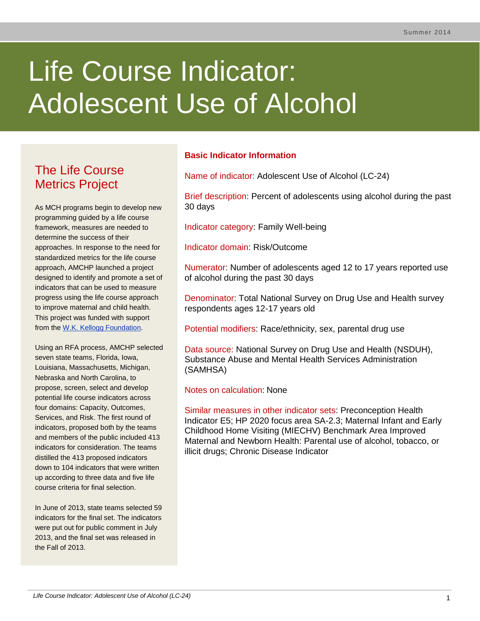# Life Course Indicator: Adolescent Use of Alcohol

# The Life Course Metrics Project

As MCH programs begin to develop new programming guided by a life course framework, measures are needed to determine the success of their approaches. In response to the need for standardized metrics for the life course approach, AMCHP launched a project designed to identify and promote a set of indicators that can be used to measure progress using the life course approach to improve maternal and child health. This project was funded with support from the [W.K. Kellogg Foundation.](http://www.wkkf.org/)

Using an RFA process, AMCHP selected seven state teams, Florida, Iowa, Louisiana, Massachusetts, Michigan, Nebraska and North Carolina, to propose, screen, select and develop potential life course indicators across four domains: Capacity, Outcomes, Services, and Risk. The first round of indicators, proposed both by the teams and members of the public included 413 indicators for consideration. The teams distilled the 413 proposed indicators down to 104 indicators that were written up according to three data and five life course criteria for final selection.

In June of 2013, state teams selected 59 indicators for the final set. The indicators were put out for public comment in July 2013, and the final set was released in the Fall of 2013.

# **Basic Indicator Information**

Name of indicator: Adolescent Use of Alcohol (LC-24)

Brief description: Percent of adolescents using alcohol during the past 30 days

Indicator category: Family Well-being

Indicator domain: Risk/Outcome

Numerator: Number of adolescents aged 12 to 17 years reported use of alcohol during the past 30 days

Denominator: Total National Survey on Drug Use and Health survey respondents ages 12-17 years old

Potential modifiers: Race/ethnicity, sex, parental drug use

Data source: National Survey on Drug Use and Health (NSDUH), Substance Abuse and Mental Health Services Administration (SAMHSA)

Notes on calculation: None

Similar measures in other indicator sets: Preconception Health Indicator E5; HP 2020 focus area SA-2.3; Maternal Infant and Early Childhood Home Visiting (MIECHV) Benchmark Area Improved Maternal and Newborn Health: Parental use of alcohol, tobacco, or illicit drugs; Chronic Disease Indicator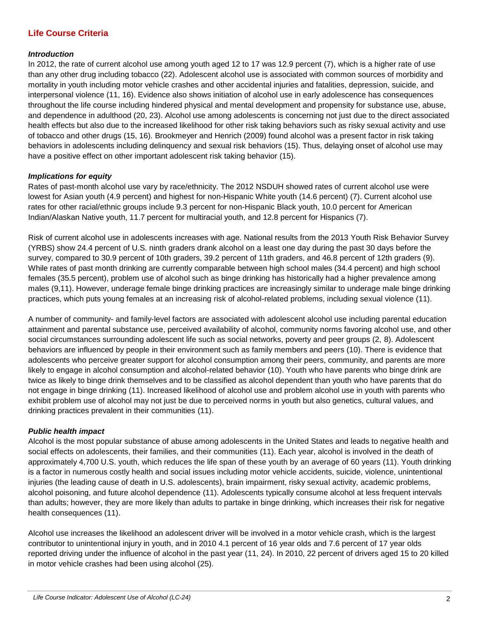# **Life Course Criteria**

#### *Introduction*

In 2012, the rate of current alcohol use among youth aged 12 to 17 was 12.9 percent (7), which is a higher rate of use than any other drug including tobacco (22). Adolescent alcohol use is associated with common sources of morbidity and mortality in youth including motor vehicle crashes and other accidental injuries and fatalities, depression, suicide, and interpersonal violence (11, 16). Evidence also shows initiation of alcohol use in early adolescence has consequences throughout the life course including hindered physical and mental development and propensity for substance use, abuse, and dependence in adulthood (20, 23). Alcohol use among adolescents is concerning not just due to the direct associated health effects but also due to the increased likelihood for other risk taking behaviors such as risky sexual activity and use of tobacco and other drugs (15, 16). Brookmeyer and Henrich (2009) found alcohol was a present factor in risk taking behaviors in adolescents including delinquency and sexual risk behaviors (15). Thus, delaying onset of alcohol use may have a positive effect on other important adolescent risk taking behavior (15).

#### *Implications for equity*

Rates of past-month alcohol use vary by race/ethnicity. The 2012 NSDUH showed rates of current alcohol use were lowest for Asian youth (4.9 percent) and highest for non-Hispanic White youth (14.6 percent) (7). Current alcohol use rates for other racial/ethnic groups include 9.3 percent for non-Hispanic Black youth, 10.0 percent for American Indian/Alaskan Native youth, 11.7 percent for multiracial youth, and 12.8 percent for Hispanics (7).

Risk of current alcohol use in adolescents increases with age. National results from the 2013 Youth Risk Behavior Survey (YRBS) show 24.4 percent of U.S. ninth graders drank alcohol on a least one day during the past 30 days before the survey, compared to 30.9 percent of 10th graders, 39.2 percent of 11th graders, and 46.8 percent of 12th graders (9). While rates of past month drinking are currently comparable between high school males (34.4 percent) and high school females (35.5 percent), problem use of alcohol such as binge drinking has historically had a higher prevalence among males (9,11). However, underage female binge drinking practices are increasingly similar to underage male binge drinking practices, which puts young females at an increasing risk of alcohol-related problems, including sexual violence (11).

A number of community- and family-level factors are associated with adolescent alcohol use including parental education attainment and parental substance use, perceived availability of alcohol, community norms favoring alcohol use, and other social circumstances surrounding adolescent life such as social networks, poverty and peer groups (2, 8). Adolescent behaviors are influenced by people in their environment such as family members and peers (10). There is evidence that adolescents who perceive greater support for alcohol consumption among their peers, community, and parents are more likely to engage in alcohol consumption and alcohol-related behavior (10). Youth who have parents who binge drink are twice as likely to binge drink themselves and to be classified as alcohol dependent than youth who have parents that do not engage in binge drinking (11). Increased likelihood of alcohol use and problem alcohol use in youth with parents who exhibit problem use of alcohol may not just be due to perceived norms in youth but also genetics, cultural values, and drinking practices prevalent in their communities (11).

#### *Public health impact*

Alcohol is the most popular substance of abuse among adolescents in the United States and leads to negative health and social effects on adolescents, their families, and their communities (11). Each year, alcohol is involved in the death of approximately 4,700 U.S. youth, which reduces the life span of these youth by an average of 60 years (11). Youth drinking is a factor in numerous costly health and social issues including motor vehicle accidents, suicide, violence, unintentional injuries (the leading cause of death in U.S. adolescents), brain impairment, risky sexual activity, academic problems, alcohol poisoning, and future alcohol dependence (11). Adolescents typically consume alcohol at less frequent intervals than adults; however, they are more likely than adults to partake in binge drinking, which increases their risk for negative health consequences (11).

Alcohol use increases the likelihood an adolescent driver will be involved in a motor vehicle crash, which is the largest contributor to unintentional injury in youth, and in 2010 4.1 percent of 16 year olds and 7.6 percent of 17 year olds reported driving under the influence of alcohol in the past year (11, 24). In 2010, 22 percent of drivers aged 15 to 20 killed in motor vehicle crashes had been using alcohol (25).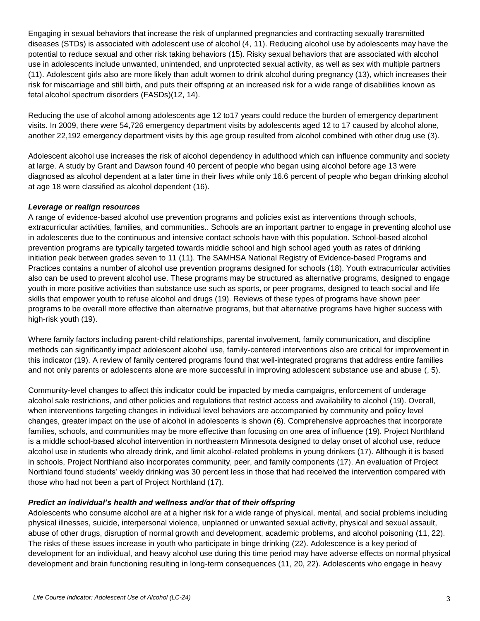Engaging in sexual behaviors that increase the risk of unplanned pregnancies and contracting sexually transmitted diseases (STDs) is associated with adolescent use of alcohol (4, 11). Reducing alcohol use by adolescents may have the potential to reduce sexual and other risk taking behaviors (15). Risky sexual behaviors that are associated with alcohol use in adolescents include unwanted, unintended, and unprotected sexual activity, as well as sex with multiple partners (11). Adolescent girls also are more likely than adult women to drink alcohol during pregnancy (13), which increases their risk for miscarriage and still birth, and puts their offspring at an increased risk for a wide range of disabilities known as fetal alcohol spectrum disorders (FASDs)(12, 14).

Reducing the use of alcohol among adolescents age 12 to17 years could reduce the burden of emergency department visits. In 2009, there were 54,726 emergency department visits by adolescents aged 12 to 17 caused by alcohol alone, another 22,192 emergency department visits by this age group resulted from alcohol combined with other drug use (3).

Adolescent alcohol use increases the risk of alcohol dependency in adulthood which can influence community and society at large. A study by Grant and Dawson found 40 percent of people who began using alcohol before age 13 were diagnosed as alcohol dependent at a later time in their lives while only 16.6 percent of people who began drinking alcohol at age 18 were classified as alcohol dependent (16).

#### *Leverage or realign resources*

A range of evidence-based alcohol use prevention programs and policies exist as interventions through schools, extracurricular activities, families, and communities.. Schools are an important partner to engage in preventing alcohol use in adolescents due to the continuous and intensive contact schools have with this population. School-based alcohol prevention programs are typically targeted towards middle school and high school aged youth as rates of drinking initiation peak between grades seven to 11 (11). The SAMHSA National Registry of Evidence-based Programs and Practices contains a number of alcohol use prevention programs designed for schools (18). Youth extracurricular activities also can be used to prevent alcohol use. These programs may be structured as alternative programs, designed to engage youth in more positive activities than substance use such as sports, or peer programs, designed to teach social and life skills that empower youth to refuse alcohol and drugs (19). Reviews of these types of programs have shown peer programs to be overall more effective than alternative programs, but that alternative programs have higher success with high-risk youth (19).

Where family factors including parent-child relationships, parental involvement, family communication, and discipline methods can significantly impact adolescent alcohol use, family-centered interventions also are critical for improvement in this indicator (19). A review of family centered programs found that well-integrated programs that address entire families and not only parents or adolescents alone are more successful in improving adolescent substance use and abuse (, 5).

Community-level changes to affect this indicator could be impacted by media campaigns, enforcement of underage alcohol sale restrictions, and other policies and regulations that restrict access and availability to alcohol (19). Overall, when interventions targeting changes in individual level behaviors are accompanied by community and policy level changes, greater impact on the use of alcohol in adolescents is shown (6). Comprehensive approaches that incorporate families, schools, and communities may be more effective than focusing on one area of influence (19). Project Northland is a middle school-based alcohol intervention in northeastern Minnesota designed to delay onset of alcohol use, reduce alcohol use in students who already drink, and limit alcohol-related problems in young drinkers (17). Although it is based in schools, Project Northland also incorporates community, peer, and family components (17). An evaluation of Project Northland found students' weekly drinking was 30 percent less in those that had received the intervention compared with those who had not been a part of Project Northland (17).

### *Predict an individual's health and wellness and/or that of their offspring*

Adolescents who consume alcohol are at a higher risk for a wide range of physical, mental, and social problems including physical illnesses, suicide, interpersonal violence, unplanned or unwanted sexual activity, physical and sexual assault, abuse of other drugs, disruption of normal growth and development, academic problems, and alcohol poisoning (11, 22). The risks of these issues increase in youth who participate in binge drinking (22). Adolescence is a key period of development for an individual, and heavy alcohol use during this time period may have adverse effects on normal physical development and brain functioning resulting in long-term consequences (11, 20, 22). Adolescents who engage in heavy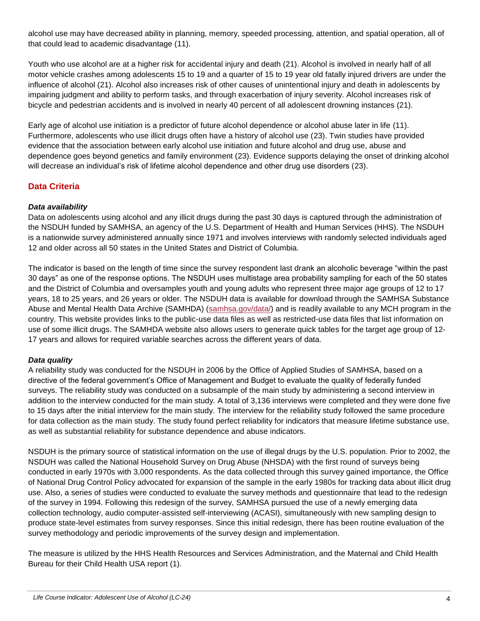alcohol use may have decreased ability in planning, memory, speeded processing, attention, and spatial operation, all of that could lead to academic disadvantage (11).

Youth who use alcohol are at a higher risk for accidental injury and death (21). Alcohol is involved in nearly half of all motor vehicle crashes among adolescents 15 to 19 and a quarter of 15 to 19 year old fatally injured drivers are under the influence of alcohol (21). Alcohol also increases risk of other causes of unintentional injury and death in adolescents by impairing judgment and ability to perform tasks, and through exacerbation of injury severity. Alcohol increases risk of bicycle and pedestrian accidents and is involved in nearly 40 percent of all adolescent drowning instances (21).

Early age of alcohol use initiation is a predictor of future alcohol dependence or alcohol abuse later in life (11). Furthermore, adolescents who use illicit drugs often have a history of alcohol use (23). Twin studies have provided evidence that the association between early alcohol use initiation and future alcohol and drug use, abuse and dependence goes beyond genetics and family environment (23). Evidence supports delaying the onset of drinking alcohol will decrease an individual's risk of lifetime alcohol dependence and other drug use disorders (23).

# **Data Criteria**

#### *Data availability*

Data on adolescents using alcohol and any illicit drugs during the past 30 days is captured through the administration of the NSDUH funded by SAMHSA, an agency of the U.S. Department of Health and Human Services (HHS). The NSDUH is a nationwide survey administered annually since 1971 and involves interviews with randomly selected individuals aged 12 and older across all 50 states in the United States and District of Columbia.

The indicator is based on the length of time since the survey respondent last drank an alcoholic beverage "within the past 30 days" as one of the response options. The NSDUH uses multistage area probability sampling for each of the 50 states and the District of Columbia and oversamples youth and young adults who represent three major age groups of 12 to 17 years, 18 to 25 years, and 26 years or older. The NSDUH data is available for download through the SAMHSA Substance Abuse and Mental Health Data Archive (SAMHDA) [\(samhsa.gov/data/\)](http://www.samhsa.gov/data/) and is readily available to any MCH program in the country. This website provides links to the public-use data files as well as restricted-use data files that list information on use of some illicit drugs. The SAMHDA website also allows users to generate quick tables for the target age group of 12- 17 years and allows for required variable searches across the different years of data.

#### *Data quality*

A reliability study was conducted for the NSDUH in 2006 by the Office of Applied Studies of SAMHSA, based on a directive of the federal government's Office of Management and Budget to evaluate the quality of federally funded surveys. The reliability study was conducted on a subsample of the main study by administering a second interview in addition to the interview conducted for the main study. A total of 3,136 interviews were completed and they were done five to 15 days after the initial interview for the main study. The interview for the reliability study followed the same procedure for data collection as the main study. The study found perfect reliability for indicators that measure lifetime substance use, as well as substantial reliability for substance dependence and abuse indicators.

NSDUH is the primary source of statistical information on the use of illegal drugs by the U.S. population. Prior to 2002, the NSDUH was called the National Household Survey on Drug Abuse (NHSDA) with the first round of surveys being conducted in early 1970s with 3,000 respondents. As the data collected through this survey gained importance, the Office of National Drug Control Policy advocated for expansion of the sample in the early 1980s for tracking data about illicit drug use. Also, a series of studies were conducted to evaluate the survey methods and questionnaire that lead to the redesign of the survey in 1994. Following this redesign of the survey, SAMHSA pursued the use of a newly emerging data collection technology, audio computer-assisted self-interviewing (ACASI), simultaneously with new sampling design to produce state-level estimates from survey responses. Since this initial redesign, there has been routine evaluation of the survey methodology and periodic improvements of the survey design and implementation.

The measure is utilized by the HHS Health Resources and Services Administration, and the Maternal and Child Health Bureau for their Child Health USA report (1).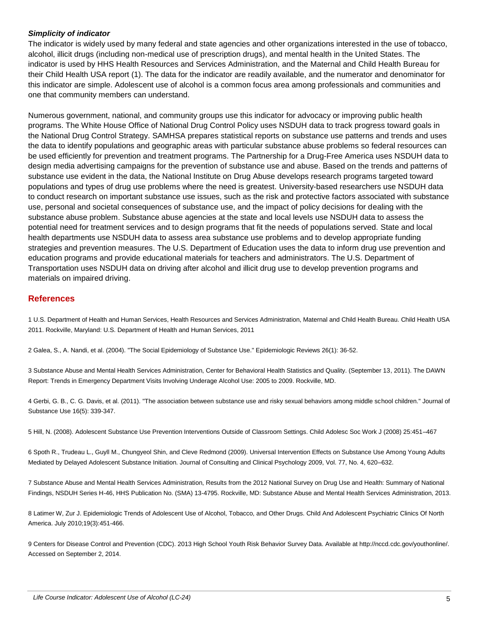#### *Simplicity of indicator*

The indicator is widely used by many federal and state agencies and other organizations interested in the use of tobacco, alcohol, illicit drugs (including non-medical use of prescription drugs), and mental health in the United States. The indicator is used by HHS Health Resources and Services Administration, and the Maternal and Child Health Bureau for their Child Health USA report (1). The data for the indicator are readily available, and the numerator and denominator for this indicator are simple. Adolescent use of alcohol is a common focus area among professionals and communities and one that community members can understand.

Numerous government, national, and community groups use this indicator for advocacy or improving public health programs. The White House Office of National Drug Control Policy uses NSDUH data to track progress toward goals in the National Drug Control Strategy. SAMHSA prepares statistical reports on substance use patterns and trends and uses the data to identify populations and geographic areas with particular substance abuse problems so federal resources can be used efficiently for prevention and treatment programs. The Partnership for a Drug-Free America uses NSDUH data to design media advertising campaigns for the prevention of substance use and abuse. Based on the trends and patterns of substance use evident in the data, the National Institute on Drug Abuse develops research programs targeted toward populations and types of drug use problems where the need is greatest. University-based researchers use NSDUH data to conduct research on important substance use issues, such as the risk and protective factors associated with substance use, personal and societal consequences of substance use, and the impact of policy decisions for dealing with the substance abuse problem. Substance abuse agencies at the state and local levels use NSDUH data to assess the potential need for treatment services and to design programs that fit the needs of populations served. State and local health departments use NSDUH data to assess area substance use problems and to develop appropriate funding strategies and prevention measures. The U.S. Department of Education uses the data to inform drug use prevention and education programs and provide educational materials for teachers and administrators. The U.S. Department of Transportation uses NSDUH data on driving after alcohol and illicit drug use to develop prevention programs and materials on impaired driving.

#### **References**

1 U.S. Department of Health and Human Services, Health Resources and Services Administration, Maternal and Child Health Bureau. Child Health USA 2011. Rockville, Maryland: U.S. Department of Health and Human Services, 2011

2 Galea, S., A. Nandi, et al. (2004). "The Social Epidemiology of Substance Use." Epidemiologic Reviews 26(1): 36-52.

3 Substance Abuse and Mental Health Services Administration, Center for Behavioral Health Statistics and Quality. (September 13, 2011). The DAWN Report: Trends in Emergency Department Visits Involving Underage Alcohol Use: 2005 to 2009. Rockville, MD.

4 Gerbi, G. B., C. G. Davis, et al. (2011). "The association between substance use and risky sexual behaviors among middle school children." Journal of Substance Use 16(5): 339-347.

5 Hill, N. (2008). Adolescent Substance Use Prevention Interventions Outside of Classroom Settings. Child Adolesc Soc Work J (2008) 25:451–467

6 Spoth R., Trudeau L., Guyll M., Chungyeol Shin, and Cleve Redmond (2009). Universal Intervention Effects on Substance Use Among Young Adults Mediated by Delayed Adolescent Substance Initiation. Journal of Consulting and Clinical Psychology 2009, Vol. 77, No. 4, 620–632.

7 Substance Abuse and Mental Health Services Administration, Results from the 2012 National Survey on Drug Use and Health: Summary of National Findings, NSDUH Series H-46, HHS Publication No. (SMA) 13-4795. Rockville, MD: Substance Abuse and Mental Health Services Administration, 2013.

8 Latimer W, Zur J. Epidemiologic Trends of Adolescent Use of Alcohol, Tobacco, and Other Drugs. Child And Adolescent Psychiatric Clinics Of North America. July 2010;19(3):451-466.

9 Centers for Disease Control and Prevention (CDC). 2013 High School Youth Risk Behavior Survey Data. Available at http://nccd.cdc.gov/youthonline/. Accessed on September 2, 2014.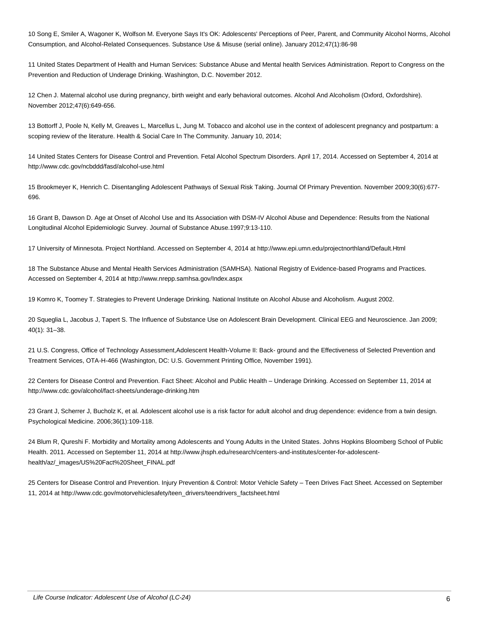10 Song E, Smiler A, Wagoner K, Wolfson M. Everyone Says It's OK: Adolescents' Perceptions of Peer, Parent, and Community Alcohol Norms, Alcohol Consumption, and Alcohol-Related Consequences. Substance Use & Misuse (serial online). January 2012;47(1):86-98

11 United States Department of Health and Human Services: Substance Abuse and Mental health Services Administration. Report to Congress on the Prevention and Reduction of Underage Drinking. Washington, D.C. November 2012.

12 Chen J. Maternal alcohol use during pregnancy, birth weight and early behavioral outcomes. Alcohol And Alcoholism (Oxford, Oxfordshire). November 2012;47(6):649-656.

13 Bottorff J, Poole N, Kelly M, Greaves L, Marcellus L, Jung M. Tobacco and alcohol use in the context of adolescent pregnancy and postpartum: a scoping review of the literature. Health & Social Care In The Community. January 10, 2014;

14 United States Centers for Disease Control and Prevention. Fetal Alcohol Spectrum Disorders. April 17, 2014. Accessed on September 4, 2014 at http://www.cdc.gov/ncbddd/fasd/alcohol-use.html

15 Brookmeyer K, Henrich C. Disentangling Adolescent Pathways of Sexual Risk Taking. Journal Of Primary Prevention. November 2009;30(6):677- 696.

16 Grant B, Dawson D. Age at Onset of Alcohol Use and Its Association with DSM-IV Alcohol Abuse and Dependence: Results from the National Longitudinal Alcohol Epidemiologic Survey. Journal of Substance Abuse.1997;9:13-110.

17 University of Minnesota. Project Northland. Accessed on September 4, 2014 at http://www.epi.umn.edu/projectnorthland/Default.Html

18 The Substance Abuse and Mental Health Services Administration (SAMHSA). National Registry of Evidence-based Programs and Practices. Accessed on September 4, 2014 at http://www.nrepp.samhsa.gov/Index.aspx

19 Komro K, Toomey T. Strategies to Prevent Underage Drinking. National Institute on Alcohol Abuse and Alcoholism. August 2002.

20 Squeglia L, Jacobus J, Tapert S. The Influence of Substance Use on Adolescent Brain Development. Clinical EEG and Neuroscience. Jan 2009; 40(1): 31–38.

21 U.S. Congress, Office of Technology Assessment,Adolescent Health-Volume II: Back- ground and the Effectiveness of Selected Prevention and Treatment Services, OTA-H-466 (Washington, DC: U.S. Government Printing Office, November 1991).

22 Centers for Disease Control and Prevention. Fact Sheet: Alcohol and Public Health – Underage Drinking. Accessed on September 11, 2014 at http://www.cdc.gov/alcohol/fact-sheets/underage-drinking.htm

23 Grant J, Scherrer J, Bucholz K, et al. Adolescent alcohol use is a risk factor for adult alcohol and drug dependence: evidence from a twin design. Psychological Medicine. 2006;36(1):109-118.

24 Blum R, Qureshi F. Morbidity and Mortality among Adolescents and Young Adults in the United States. Johns Hopkins Bloomberg School of Public Health. 2011. Accessed on September 11, 2014 at http://www.jhsph.edu/research/centers-and-institutes/center-for-adolescenthealth/az/\_images/US%20Fact%20Sheet\_FINAL.pdf

25 Centers for Disease Control and Prevention. Injury Prevention & Control: Motor Vehicle Safety – Teen Drives Fact Sheet. Accessed on September 11, 2014 at http://www.cdc.gov/motorvehiclesafety/teen\_drivers/teendrivers\_factsheet.html